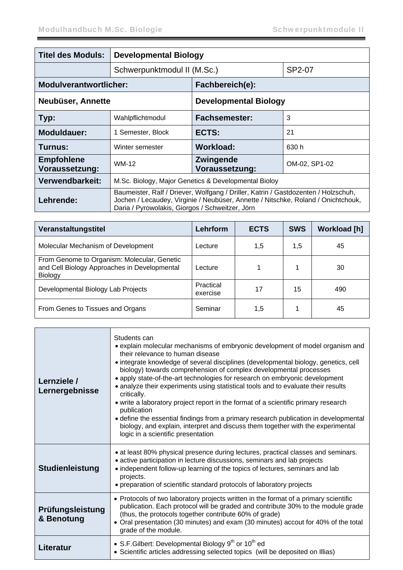| <b>Titel des Moduls:</b>            | <b>Developmental Biology</b>                                                                                                                                                                                               |                                    |               |  |
|-------------------------------------|----------------------------------------------------------------------------------------------------------------------------------------------------------------------------------------------------------------------------|------------------------------------|---------------|--|
|                                     | Schwerpunktmodul II (M.Sc.)                                                                                                                                                                                                |                                    | SP2-07        |  |
| <b>Modulverantwortlicher:</b>       |                                                                                                                                                                                                                            | Fachbereich(e):                    |               |  |
| Neubüser, Annette                   |                                                                                                                                                                                                                            | <b>Developmental Biology</b>       |               |  |
| Typ:                                | Wahlpflichtmodul                                                                                                                                                                                                           | <b>Fachsemester:</b>               | 3             |  |
| <b>Moduldauer:</b>                  | 1 Semester, Block                                                                                                                                                                                                          | ECTS:                              | 21            |  |
| Turnus:                             | Winter semester                                                                                                                                                                                                            | Workload:                          | 630 h         |  |
| <b>Empfohlene</b><br>Voraussetzung: | WM-12                                                                                                                                                                                                                      | <b>Zwingende</b><br>Voraussetzung: | OM-02, SP1-02 |  |
| Verwendbarkeit:                     | M.Sc. Biology, Major Genetics & Developmental Bioloy                                                                                                                                                                       |                                    |               |  |
| Lehrende:                           | Baumeister, Ralf / Driever, Wolfgang / Driller, Katrin / Gastdozenten / Holzschuh,<br>Jochen / Lecaudey, Virginie / Neubüser, Annette / Nitschke, Roland / Onichtchouk,<br>Daria / Pyrowolakis, Giorgos / Schweitzer, Jörn |                                    |               |  |

| Veranstaltungstitel                                                                                           | Lehrform              | <b>ECTS</b> | <b>SWS</b> | <b>Workload [h]</b> |
|---------------------------------------------------------------------------------------------------------------|-----------------------|-------------|------------|---------------------|
| Molecular Mechanism of Development                                                                            | Lecture               | 1,5         | 1,5        | 45                  |
| From Genome to Organism: Molecular, Genetic<br>and Cell Biology Approaches in Developmental<br><b>Biology</b> | Lecture               |             | 1          | 30                  |
| Developmental Biology Lab Projects                                                                            | Practical<br>exercise | 17          | 15         | 490                 |
| From Genes to Tissues and Organs                                                                              | Seminar               | 1,5         |            | 45                  |

| Lernziele /<br>Lernergebnisse  | Students can<br>• explain molecular mechanisms of embryonic development of model organism and<br>their relevance to human disease<br>• integrate knowledge of several disciplines (developmental biology, genetics, cell<br>biology) towards comprehension of complex developmental processes<br>• apply state-of-the-art technologies for research on embryonic development<br>• analyze their experiments using statistical tools and to evaluate their results<br>critically.<br>• write a laboratory project report in the format of a scientific primary research<br>publication<br>• define the essential findings from a primary research publication in developmental<br>biology, and explain, interpret and discuss them together with the experimental<br>logic in a scientific presentation |
|--------------------------------|--------------------------------------------------------------------------------------------------------------------------------------------------------------------------------------------------------------------------------------------------------------------------------------------------------------------------------------------------------------------------------------------------------------------------------------------------------------------------------------------------------------------------------------------------------------------------------------------------------------------------------------------------------------------------------------------------------------------------------------------------------------------------------------------------------|
| <b>Studienleistung</b>         | • at least 80% physical presence during lectures, practical classes and seminars.<br>• active participation in lecture discussions, seminars and lab projects<br>• independent follow-up learning of the topics of lectures, seminars and lab<br>projects.<br>• preparation of scientific standard protocols of laboratory projects                                                                                                                                                                                                                                                                                                                                                                                                                                                                    |
| Prüfungsleistung<br>& Benotung | • Protocols of two laboratory projects written in the format of a primary scientific<br>publication. Each protocol will be graded and contribute 30% to the module grade<br>(thus, the protocols together contribute 60% of grade)<br>• Oral presentation (30 minutes) and exam (30 minutes) accout for 40% of the total<br>grade of the module.                                                                                                                                                                                                                                                                                                                                                                                                                                                       |
| Literatur                      | • S.F. Gilbert: Developmental Biology $9^{th}$ or $10^{th}$ ed<br>• Scientific articles addressing selected topics (will be deposited on Illias)                                                                                                                                                                                                                                                                                                                                                                                                                                                                                                                                                                                                                                                       |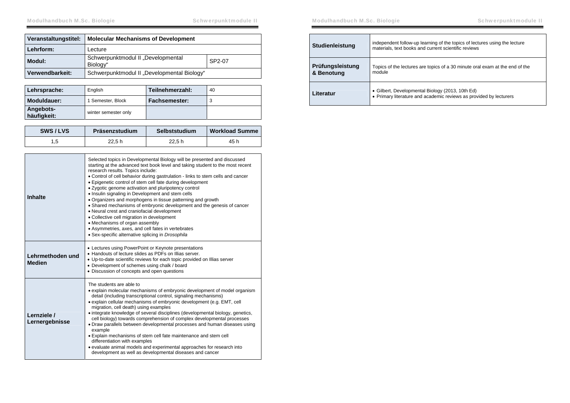| Veranstaltungstitel: | <b>Molecular Mechanisms of Development</b>     |        |
|----------------------|------------------------------------------------|--------|
| Lehrform:            | Lecture                                        |        |
| Modul:               | Schwerpunktmodul II "Developmental<br>Biology" | SP2-07 |
| Verwendbarkeit:      | Schwerpunktmodul II "Developmental Biology"    |        |

| Lehrsprache:             | English              | Teilnehmerzahl: | 40 |
|--------------------------|----------------------|-----------------|----|
| Moduldauer:              | 1 Semester, Block    | Fachsemester:   |    |
| Angebots-<br>häufigkeit: | winter semester only |                 |    |

| SWS/LVS | Präsenzstudium | Selbststudium | <b>Workload Summe</b> |
|---------|----------------|---------------|-----------------------|
|         | 22.5h          | 22.5h         | 45 h                  |

| Inhalte                           | Selected topics in Developmental Biology will be presented and discussed<br>starting at the advanced text book level and taking student to the most recent<br>research results. Topics include:<br>• Control of cell behavior during gastrulation - links to stem cells and cancer<br>• Epigenetic control of stem cell fate during development<br>• Zygotic genome activation and pluripotency control<br>• Insulin signaling in Development and stem cells<br>• Organizers and morphogens in tissue patterning and growth<br>• Shared mechanisms of embryonic development and the genesis of cancer<br>• Neural crest and craniofacial development<br>• Collective cell migration in development<br>• Mechanisms of organ assembly<br>• Asymmetries, axes, and cell fates in vertebrates<br>• Sex-specific alternative splicing in Drosophila |
|-----------------------------------|-------------------------------------------------------------------------------------------------------------------------------------------------------------------------------------------------------------------------------------------------------------------------------------------------------------------------------------------------------------------------------------------------------------------------------------------------------------------------------------------------------------------------------------------------------------------------------------------------------------------------------------------------------------------------------------------------------------------------------------------------------------------------------------------------------------------------------------------------|
| Lehrmethoden und<br><b>Medien</b> | • Lectures using PowerPoint or Keynote presentations<br>• Handouts of lecture slides as PDFs on Illias server.<br>• Up-to-date scientific reviews for each topic provided on Illias server<br>• Development of schemes using chalk / board<br>• Discussion of concepts and open questions                                                                                                                                                                                                                                                                                                                                                                                                                                                                                                                                                       |
| Lernziele /<br>Lernergebnisse     | The students are able to<br>• explain molecular mechanisms of embryonic development of model organism<br>detail (including transcriptional control, signaling mechanisms)<br>• explain cellular mechanisms of embryonic development (e.g. EMT, cell<br>migration, cell death) using examples<br>• integrate knowledge of several disciplines (developmental biology, genetics,<br>cell biology) towards comprehension of complex developmental processes<br>• Draw parallels between developmental processes and human diseases using<br>example<br>. Explain mechanisms of stem cell fate maintenance and stem cell<br>differentiation with examples<br>• evaluate animal models and experimental approaches for research into<br>development as well as developmental diseases and cancer                                                     |

Modulhandbuch M.Sc. Biologie Schwerpunktmodule II

| <b>Studienleistung</b>         | independent follow-up learning of the topics of lectures using the lecture<br>materials, text books and current scientific reviews |
|--------------------------------|------------------------------------------------------------------------------------------------------------------------------------|
| Prüfungsleistung<br>& Benotung | Topics of the lectures are topics of a 30 minute oral exam at the end of the<br>module                                             |
| Literatur                      | • Gilbert, Developmental Biology (2013, 10th Ed)<br>• Primary literature and academic reviews as provided by lecturers             |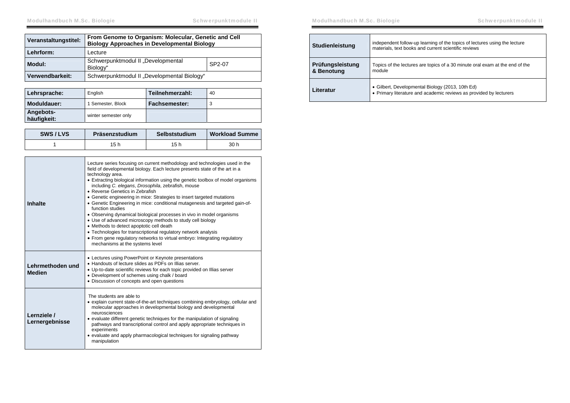| Veranstaltungstitel: | From Genome to Organism: Molecular, Genetic and Cell<br><b>Biology Approaches in Developmental Biology</b> |  |
|----------------------|------------------------------------------------------------------------------------------------------------|--|
| Lehrform:            | Lecture                                                                                                    |  |
| Modul:               | Schwerpunktmodul II "Developmental<br>SP2-07<br>Biology"                                                   |  |
| Verwendbarkeit:      | Schwerpunktmodul II "Developmental Biology"                                                                |  |

| Lehrsprache:             | English              | Teilnehmerzahl: | 40 |
|--------------------------|----------------------|-----------------|----|
| Moduldauer:              | 1 Semester, Block    | Fachsemester:   |    |
| Angebots-<br>häufigkeit: | winter semester only |                 |    |

| SWS/LVS | Präsenzstudium | Selbststudium | <b>Workload Summe</b> |
|---------|----------------|---------------|-----------------------|
|         | 15 h           | 15 h          | 30 h                  |

| <b>Inhalte</b>                    | Lecture series focusing on current methodology and technologies used in the<br>field of developmental biology. Each lecture presents state of the art in a<br>technology area.<br>• Extracting biological information using the genetic toolbox of model organisms<br>including C. elegans, Drosophila, zebrafish, mouse<br>• Reverse Genetics in Zebrafish<br>• Genetic engineering in mice: Strategies to insert targeted mutations<br>• Genetic Engineering in mice: conditional mutagenesis and targeted gain-of-<br>function studies<br>• Observing dynamical biological processes in vivo in model organisms<br>• Use of advanced microscopy methods to study cell biology<br>• Methods to detect apoptotic cell death<br>• Technologies for transcriptional regulatory network analysis<br>• From gene regulatory networks to virtual embryo: Integrating regulatory<br>mechanisms at the systems level |
|-----------------------------------|----------------------------------------------------------------------------------------------------------------------------------------------------------------------------------------------------------------------------------------------------------------------------------------------------------------------------------------------------------------------------------------------------------------------------------------------------------------------------------------------------------------------------------------------------------------------------------------------------------------------------------------------------------------------------------------------------------------------------------------------------------------------------------------------------------------------------------------------------------------------------------------------------------------|
| Lehrmethoden und<br><b>Medien</b> | • Lectures using PowerPoint or Keynote presentations<br>• Handouts of lecture slides as PDFs on Illias server.<br>• Up-to-date scientific reviews for each topic provided on Illias server<br>• Development of schemes using chalk / board<br>• Discussion of concepts and open questions                                                                                                                                                                                                                                                                                                                                                                                                                                                                                                                                                                                                                      |
| Lernziele /<br>Lernergebnisse     | The students are able to<br>• explain current state-of-the-art techniques combining embryology, cellular and<br>molecular approaches in developmental biology and developmental<br>neurosciences<br>• evaluate different genetic techniques for the manipulation of signaling<br>pathways and transcriptional control and apply appropriate techniques in<br>experiments<br>• evaluate and apply pharmacological techniques for signaling pathway<br>manipulation                                                                                                                                                                                                                                                                                                                                                                                                                                              |

| Studienleistung                | independent follow-up learning of the topics of lectures using the lecture<br>materials, text books and current scientific reviews |
|--------------------------------|------------------------------------------------------------------------------------------------------------------------------------|
| Prüfungsleistung<br>& Benotung | Topics of the lectures are topics of a 30 minute oral exam at the end of the<br>module                                             |
| Literatur                      | • Gilbert, Developmental Biology (2013, 10th Ed)<br>• Primary literature and academic reviews as provided by lecturers             |